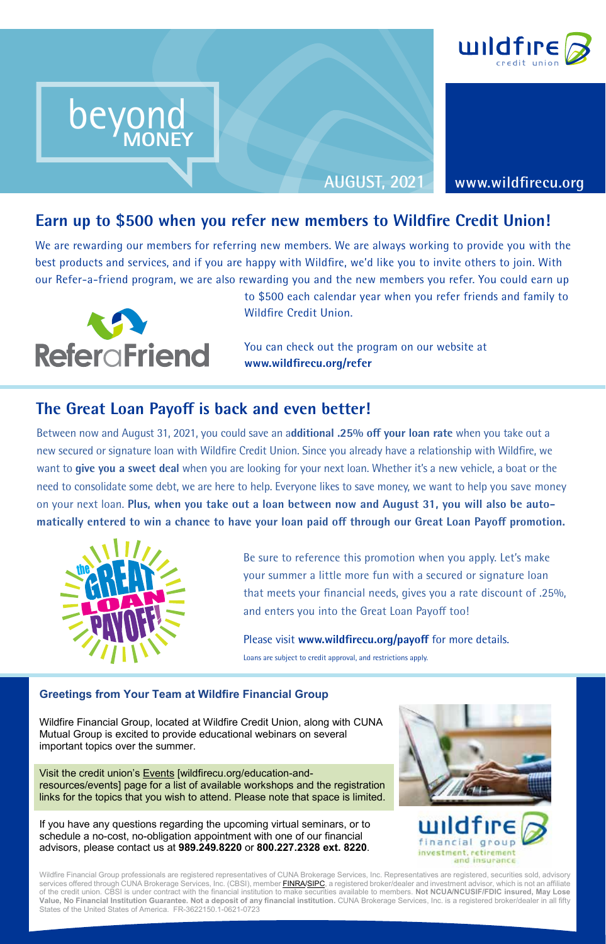

**AUGUST, 2021 www.wildfirecu.org**

Earn up to \$500 when you refer new members to Wildfire Credit Union!<br>We are rewarding our members for referring new members. We are always working to provide you with We are rewarding our members for referring new members. We are always working to provide you with the best products and services, and if you are happy with Wildfire, we'd like you to invite others to join. With our Refer-a-friend program, we are also rewarding you and the new members you refer. You could earn up



beyond

**MONEY**

beyond beyond

MONEY

beyond MONEY

to \$500 each calendar year when you refer friends and family to Wildfire Credit Union.

You can check out the program on our website at **www.wildfirecu.org/refer**

# **The Great Loan Payoff is back and even better!**

**MONEY**

Between now and August 31, 2021, you could save an a**dditional .25% off your loan rate** when you take out a new secured or signature loan with Wildfire Credit Union. Since you already have a relationship with Wildfire, we want to **give you a sweet deal** when you are looking for your next loan. Whether it's a new vehicle, a boat or the need to consolidate some debt, we are here to help. Everyone likes to save money, we want to help you save money on your next loan. **Plus, when you take out a loan between now and August 31, you will also be automatically entered to win a chance to have your loan paid off through our Great Loan Payoff promotion.**



Be sure to reference this promotion when you apply. Let's make your summer a little more fun with a secured or signature loan that meets your financial needs, gives you a rate discount of .25%, and enters you into the Great Loan Payoff too!

Please visit **www.wildfirecu.org/payoff** for more details.

Loans are subject to credit approval, and restrictions apply.

#### **Greetings from Your Team at Wildfire Financial Group**

Wildfire Financial Group, located at Wildfire Credit Union, along with CUNA Mutual Group is excited to provide educational webinars on several important topics over the summer.

Visit the credit union's Events [wildfirecu.org/education-andresources/events] page for a list of available workshops and the registration links for the topics that you wish to attend. Please note that space is limited.

If you have any questions regarding the upcoming virtual seminars, or to schedule a no-cost, no-obligation appointment with one of our financial advisors, please contact us at **989.249.8220** or **800.227.2328 ext. 8220**.



and insurance

Wildfire Financial Group professionals are registered representatives of CUNA Brokerage Services, Inc. Representatives are registered, securities sold, advisory services offered through CUNA Brokerage Services, Inc. (CBSI), member <mark>FINRA/SIPC</mark>, a registered broker/dealer and investment advisor, which is not an affiliate of the credit union. CBSI is under contract with the financial institution to make securities available to members. **Not NCUA/NCUSIF/FDIC insured, May Lose Value, No Financial Institution Guarantee. Not a deposit of any financial institution.** CUNA Brokerage Services, Inc. is a registered broker/dealer in all fifty States of the United States of America. FR-3622150.1-0621-0723